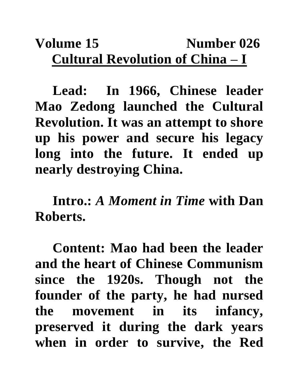## **Volume 15** Number 026 **Cultural Revolution of China – I**

**Lead: In 1966, Chinese leader Mao Zedong launched the Cultural Revolution. It was an attempt to shore up his power and secure his legacy long into the future. It ended up nearly destroying China.** 

**Intro.:** *A Moment in Time* **with Dan Roberts.**

**Content: Mao had been the leader and the heart of Chinese Communism since the 1920s. Though not the founder of the party, he had nursed the movement in its infancy, preserved it during the dark years when in order to survive, the Red**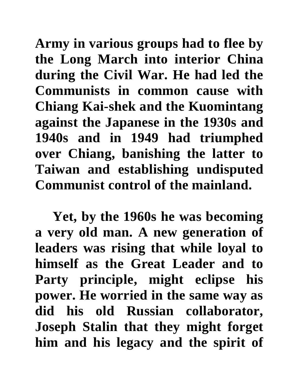**Army in various groups had to flee by the Long March into interior China during the Civil War. He had led the Communists in common cause with Chiang Kai-shek and the Kuomintang against the Japanese in the 1930s and 1940s and in 1949 had triumphed over Chiang, banishing the latter to Taiwan and establishing undisputed Communist control of the mainland.**

**Yet, by the 1960s he was becoming a very old man. A new generation of leaders was rising that while loyal to himself as the Great Leader and to Party principle, might eclipse his power. He worried in the same way as did his old Russian collaborator, Joseph Stalin that they might forget him and his legacy and the spirit of**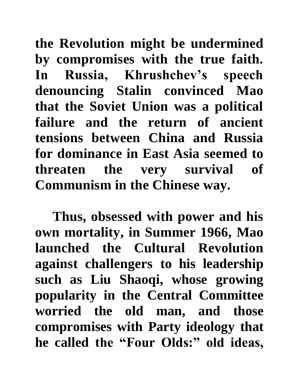**the Revolution might be undermined by compromises with the true faith. In Russia, Khrushchev's speech denouncing Stalin convinced Mao that the Soviet Union was a political failure and the return of ancient tensions between China and Russia for dominance in East Asia seemed to threaten the very survival of Communism in the Chinese way.** 

**Thus, obsessed with power and his own mortality, in Summer 1966, Mao launched the Cultural Revolution against challengers to his leadership such as Liu Shaoqi, whose growing popularity in the Central Committee worried the old man, and those compromises with Party ideology that he called the "Four Olds:" old ideas,**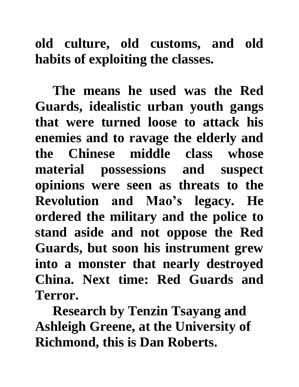## **old culture, old customs, and old habits of exploiting the classes.**

**The means he used was the Red Guards, idealistic urban youth gangs that were turned loose to attack his enemies and to ravage the elderly and the Chinese middle class whose material possessions and suspect opinions were seen as threats to the Revolution and Mao's legacy. He ordered the military and the police to stand aside and not oppose the Red Guards, but soon his instrument grew into a monster that nearly destroyed China. Next time: Red Guards and Terror.** 

**Research by Tenzin Tsayang and Ashleigh Greene, at the University of Richmond, this is Dan Roberts.**